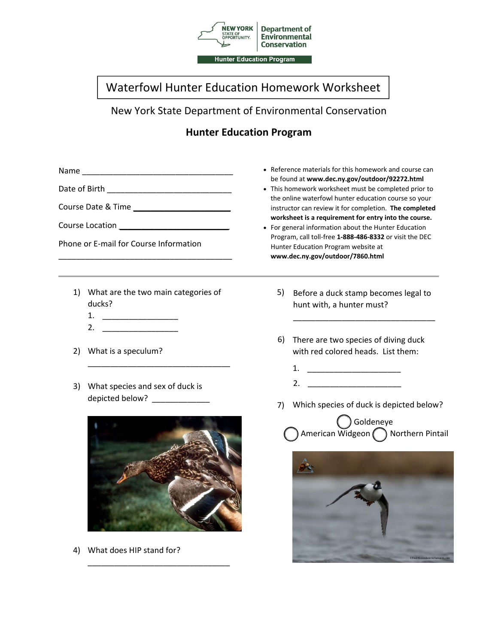

## Waterfowl Hunter Education Homework Worksheet

New York State Department of Environmental Conservation

## **Hunter Education Program**

| Course Location <b>Course Lating Course Location</b><br>Phone or E-mail for Course Information |                          | • Reference materials for this homework and course can<br>be found at www.dec.ny.gov/outdoor/92272.html<br>• This homework worksheet must be completed prior to<br>the online waterfowl hunter education course so your<br>instructor can review it for completion. The completed<br>worksheet is a requirement for entry into the course.<br>• For general information about the Hunter Education<br>Program, call toll-free 1-888-486-8332 or visit the DEC<br>Hunter Education Program website at<br>www.dec.ny.gov/outdoor/7860.html |  |    |                                                                        |    |                                                                                                  |
|------------------------------------------------------------------------------------------------|--------------------------|------------------------------------------------------------------------------------------------------------------------------------------------------------------------------------------------------------------------------------------------------------------------------------------------------------------------------------------------------------------------------------------------------------------------------------------------------------------------------------------------------------------------------------------|--|----|------------------------------------------------------------------------|----|--------------------------------------------------------------------------------------------------|
|                                                                                                |                          |                                                                                                                                                                                                                                                                                                                                                                                                                                                                                                                                          |  |    | 1) What are the two main categories of<br>ducks?<br>1. $\qquad \qquad$ | 5) | Before a duck stamp becomes legal to<br>hunt with, a hunter must?                                |
|                                                                                                |                          |                                                                                                                                                                                                                                                                                                                                                                                                                                                                                                                                          |  | 2) | 2. $\qquad \qquad$<br>What is a speculum?                              | 6) | There are two species of diving duck<br>with red colored heads. List them:<br>1. $\qquad \qquad$ |
|                                                                                                |                          |                                                                                                                                                                                                                                                                                                                                                                                                                                                                                                                                          |  | 3) | What species and sex of duck is<br>depicted below? ______________      | 7) | Which species of duck is depicted below?                                                         |
|                                                                                                |                          |                                                                                                                                                                                                                                                                                                                                                                                                                                                                                                                                          |  |    |                                                                        |    | Goldeneye<br>American Widgeon ( ) Northern Pintail                                               |
| 4)                                                                                             | What does HIP stand for? |                                                                                                                                                                                                                                                                                                                                                                                                                                                                                                                                          |  |    |                                                                        |    |                                                                                                  |

oFred

\_\_\_\_\_\_\_\_\_\_\_\_\_\_\_\_\_\_\_\_\_\_\_\_\_\_\_\_\_\_\_\_